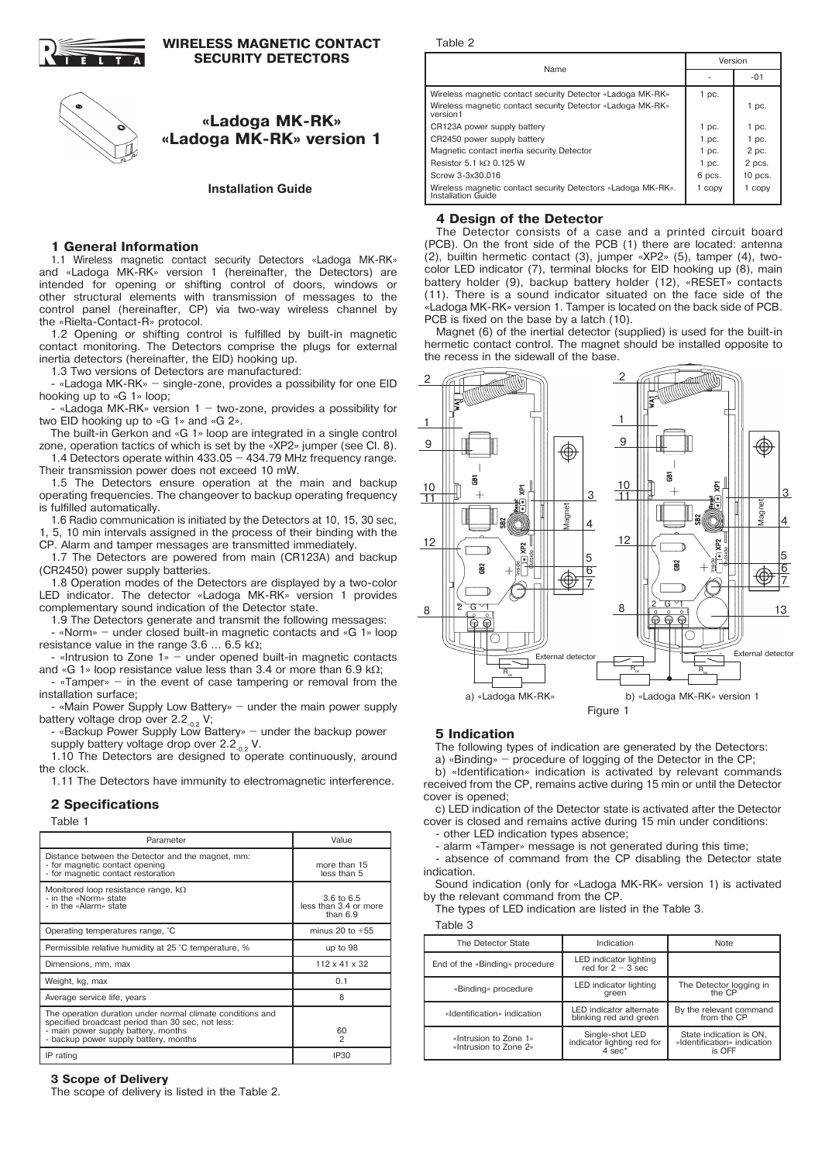

### **WIRELESS MAGNETIC CONTACT SECURITY DETECTORS**

# **«Ladoga MK-RK» «Ladoga MK-RK» version 1**

**Installation Guide**

### **1 General Information**

1.1 Wireless magnetic contact security Detectors «Ladoga MK-RK» and «Ladoga MK-RK» version 1 (hereinafter, the Detectors) are intended for opening or shifting control of doors, windows or other structural elements with transmission of messages to the control panel (hereinafter, CP) via two-way wireless channel by the «Rielta-Contaсt-R» protocol.

1.2 Opening or shifting control is fulfilled by built-in magnetic contact monitoring. The Detectors comprise the plugs for external inertia detectors (hereinafter, the EID) hooking up.

1.3 Two versions of Detectors are manufactured:

- «Ladoga MK-RK» – single-zone, provides a possibility for one EID hooking up to «G 1» loop;

«Ladoga MK-RK» version  $1 -$  two-zone, provides a possibility for two EID hooking up to «G 1» and «G 2».

The built-in Gerkon and «G 1» loop are integrated in a single control zone, operation tactics of which is set by the «ХР2» jumper (see Cl. 8).

1.4 Detectors operate within 433.05 – 434.79 MHz frequency range. Their transmission power does not exceed 10 mW.

1.5 The Detectors ensure operation at the main and backup operating frequencies. The changeover to backup operating frequency is fulfilled automatically.

1.6 Radio communication is initiated by the Detectors at 10, 15, 30 sec, 5, 10 min intervals assigned in the process of their binding with the

CP. Alarm and tamper messages are transmitted immediately. 1.7 The Detectors are powered from main (СR123А) and backup

(СR2450) power supply batteries.

1.8 Operation modes of the Detectors are displayed by a two-color LED indicator. The detector «Ladoga MK-RK» version 1 provides complementary sound indication of the Detector state.

1.9 The Detectors generate and transmit the following messages:

- «Norm» – under closed built-in magnetic contacts and «G 1» loop resistance value in the range  $3.6 \dots 6.5$  kΩ;

 $\cdot$  «Intrusion to Zone 1» – under opened built-in magnetic contacts and «G 1» loop resistance value less than 3.4 or more than 6.9 kΩ;

 $\cdot$  «Tamper» – in the event of case tampering or removal from the installation surface;

«Main Power Supply Low Battery» – under the main power supply battery voltage drop over  $2.2_{0.2}$  V;

- «Backup Power Supply Low Battery» – under the backup power supply battery voltage drop over  $2.2_{0.2}$  V.

1.10 The Detectors are designed to operate continuously, around the clock.

1.11 The Detectors have immunity to electromagnetic interference.

## **2 Specifications**

Table 1

| Parameter                                                                                                                                                                                       | Value                                                        |
|-------------------------------------------------------------------------------------------------------------------------------------------------------------------------------------------------|--------------------------------------------------------------|
| Distance between the Detector and the magnet, mm:<br>- for magnetic contact opening<br>- for magnetic contact restoration                                                                       | more than 15<br>less than 5                                  |
| Monitored loop resistance range, $k\Omega$<br>- in the «Norm» state<br>- in the «Alarm» state                                                                                                   | $3.6 \text{ to } 6.5$<br>less than 3.4 or more<br>than $6.9$ |
| Operating temperatures range, °C                                                                                                                                                                | minus 20 to $+55$                                            |
| Permissible relative humidity at 25 °C temperature, %                                                                                                                                           | up to 98                                                     |
| Dimensions, mm, max                                                                                                                                                                             | $112 \times 41 \times 32$                                    |
| Weight, kg, max                                                                                                                                                                                 | 0.1                                                          |
| Average service life, years                                                                                                                                                                     | 8                                                            |
| The operation duration under normal climate conditions and<br>specified broadcast period than 30 sec, not less:<br>- main power supply battery, months<br>- backup power supply battery, months | 60<br>$\overline{c}$                                         |
| IP rating                                                                                                                                                                                       | <b>IP30</b>                                                  |

### **3 Scope of Delivery**

The scope of delivery is listed in the Table 2.

Table 2

| Name                                                                               |         | Version   |  |
|------------------------------------------------------------------------------------|---------|-----------|--|
|                                                                                    |         | $-01$     |  |
| Wireless magnetic contact security Detector «Ladoga MK-RK»                         | $1$ pc. |           |  |
| Wireless magnetic contact security Detector «Ladoga MK-RK»<br>version1             |         | $1$ pc.   |  |
| CR123A power supply battery                                                        | $1$ pc. | $1$ pc.   |  |
| CR2450 power supply battery                                                        | $1$ pc. | $1$ pc.   |  |
| Magnetic contact inertia security Detector                                         | $1$ pc. | 2 pc.     |  |
| Resistor 5.1 kQ 0.125 W                                                            | $1$ pc. | 2 pcs.    |  |
| Screw 3-3x30.016                                                                   | 6 pcs.  | $10$ pcs. |  |
| Wireless magnetic contact security Detectors «Ladoga MK-RK».<br>Installation Guide | 1 copy  | 1 copy    |  |

### **4 Design of the Detector**

The Detector consists of a case and a printed circuit board (PCB). On the front side of the PCB (1) there are located: antenna (2), builtin hermetic contact (3), jumper «ХР2» (5), tamper (4), twocolor LED indicator (7), terminal blocks for EID hooking up (8), main battery holder (9), backup battery holder (12), «RESET» contacts (11). There is a sound indicator situated on the face side of the «Ladoga MK-RK» version 1. Tamper is located on the back side of PCB. PCB is fixed on the base by a latch (10).

Magnet (6) of the inertial detector (supplied) is used for the built-in hermetic contact control. The magnet should be installed opposite to the recess in the sidewall of the base.



### **5 Indication**

The following types of indication are generated by the Detectors:

a) «Binding» – procedure of logging of the Detector in the CP; b) «Identification» indication is activated by relevant commands received from the CP, remains active during 15 min or until the Detector cover is opened;

c) LED indication of the Detector state is activated after the Detector cover is closed and remains active during 15 min under conditions:

- other LED indication types absence;

- alarm «Tamper» message is not generated during this time;

absence of command from the CP disabling the Detector state indication.

Sound indication (only for «Ladoga MK-RK» version 1) is activated by the relevant command from the CP.

The types of LED indication are listed in the Table 3.

Table 3

| The Detector State                             | Indication                                                                          | <b>Note</b>                                                      |
|------------------------------------------------|-------------------------------------------------------------------------------------|------------------------------------------------------------------|
| End of the «Binding» procedure                 | LED indicator lighting<br>red for $2 - 3$ sec.                                      |                                                                  |
| «Binding» procedure                            | LED indicator lighting<br>areen                                                     | The Detector logging in<br>the CP                                |
| «Identification» indication                    | LED indicator alternate<br>blinking red and green                                   | By the relevant command<br>from the CP                           |
| «Intrusion to Zone 1»<br>«Intrusion to Zone 2» | Single-shot LED<br>indicator lighting red for<br>$4 \overline{\phantom{a}}$ sec $*$ | State indication is ON,<br>«Identification» indication<br>is OFF |